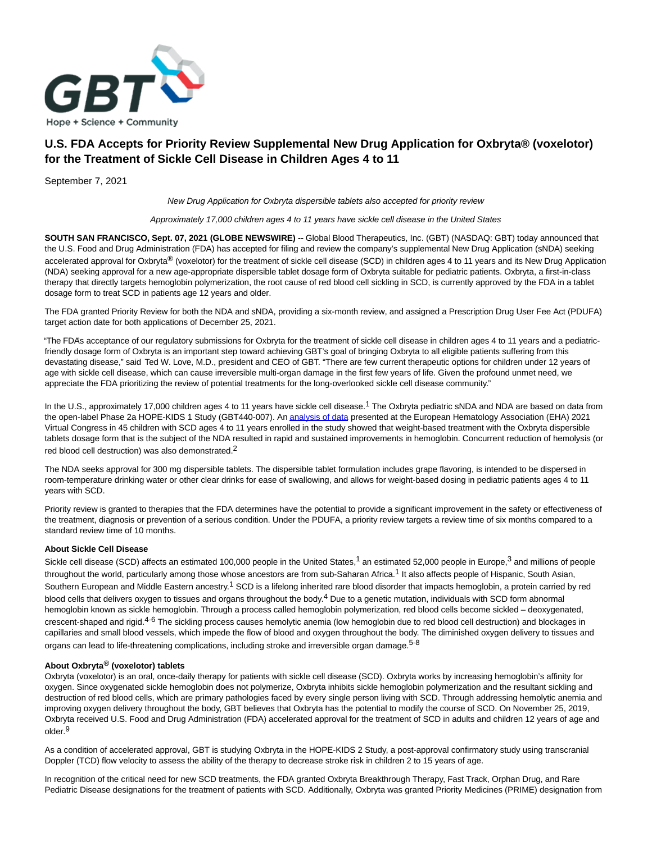

# **U.S. FDA Accepts for Priority Review Supplemental New Drug Application for Oxbryta® (voxelotor) for the Treatment of Sickle Cell Disease in Children Ages 4 to 11**

September 7, 2021

New Drug Application for Oxbryta dispersible tablets also accepted for priority review

Approximately 17,000 children ages 4 to 11 years have sickle cell disease in the United States

**SOUTH SAN FRANCISCO, Sept. 07, 2021 (GLOBE NEWSWIRE) --** Global Blood Therapeutics, Inc. (GBT) (NASDAQ: GBT) today announced that the U.S. Food and Drug Administration (FDA) has accepted for filing and review the company's supplemental New Drug Application (sNDA) seeking accelerated approval for Oxbryta® (voxelotor) for the treatment of sickle cell disease (SCD) in children ages 4 to 11 years and its New Drug Application (NDA) seeking approval for a new age-appropriate dispersible tablet dosage form of Oxbryta suitable for pediatric patients. Oxbryta, a first-in-class therapy that directly targets hemoglobin polymerization, the root cause of red blood cell sickling in SCD, is currently approved by the FDA in a tablet dosage form to treat SCD in patients age 12 years and older.

The FDA granted Priority Review for both the NDA and sNDA, providing a six-month review, and assigned a Prescription Drug User Fee Act (PDUFA) target action date for both applications of December 25, 2021.

"The FDA's acceptance of our regulatory submissions for Oxbryta for the treatment of sickle cell disease in children ages 4 to 11 years and a pediatricfriendly dosage form of Oxbryta is an important step toward achieving GBT's goal of bringing Oxbryta to all eligible patients suffering from this devastating disease," said Ted W. Love, M.D., president and CEO of GBT. "There are few current therapeutic options for children under 12 years of age with sickle cell disease, which can cause irreversible multi-organ damage in the first few years of life. Given the profound unmet need, we appreciate the FDA prioritizing the review of potential treatments for the long-overlooked sickle cell disease community."

In the U.S., approximately 17,000 children ages 4 to 11 years have sickle cell disease.<sup>1</sup> The Oxbryta pediatric sNDA and NDA are based on data from the open-label Phase 2a HOPE-KIDS 1 Study (GBT440-007). A[n analysis of data p](https://www.globenewswire.com/Tracker?data=NTqztzIg35hUwnSY9ykC5BgLiVTimatmLz8FLa5DKDKoDdnp7sGaagAGI2CifoXGV3mgXsJcYZ6YZC5AiRzu3xVwcrjZpyYeBvbLCrSLYxgbQSpY7ZBOPm5FWLZ5q_TPfCYa0j3Sc2UfpFR7C1fmLhVz5_GAKwmu03sM9uEMdzEsZr9lGUbqnUEXJvJ_IeZc)resented at the European Hematology Association (EHA) 2021 Virtual Congress in 45 children with SCD ages 4 to 11 years enrolled in the study showed that weight-based treatment with the Oxbryta dispersible tablets dosage form that is the subject of the NDA resulted in rapid and sustained improvements in hemoglobin. Concurrent reduction of hemolysis (or red blood cell destruction) was also demonstrated.<sup>2</sup>

The NDA seeks approval for 300 mg dispersible tablets. The dispersible tablet formulation includes grape flavoring, is intended to be dispersed in room-temperature drinking water or other clear drinks for ease of swallowing, and allows for weight-based dosing in pediatric patients ages 4 to 11 years with SCD.

Priority review is granted to therapies that the FDA determines have the potential to provide a significant improvement in the safety or effectiveness of the treatment, diagnosis or prevention of a serious condition. Under the PDUFA, a priority review targets a review time of six months compared to a standard review time of 10 months.

### **About Sickle Cell Disease**

Sickle cell disease (SCD) affects an estimated 100,000 people in the United States,<sup>1</sup> an estimated 52,000 people in Europe,<sup>3</sup> and millions of people throughout the world, particularly among those whose ancestors are from sub-Saharan Africa.<sup>1</sup> It also affects people of Hispanic, South Asian, Southern European and Middle Eastern ancestry.<sup>1</sup> SCD is a lifelong inherited rare blood disorder that impacts hemoglobin, a protein carried by red blood cells that delivers oxygen to tissues and organs throughout the body.<sup>4</sup> Due to a genetic mutation, individuals with SCD form abnormal hemoglobin known as sickle hemoglobin. Through a process called hemoglobin polymerization, red blood cells become sickled – deoxygenated, crescent-shaped and rigid.<sup>4-6</sup> The sickling process causes hemolytic anemia (low hemoglobin due to red blood cell destruction) and blockages in capillaries and small blood vessels, which impede the flow of blood and oxygen throughout the body. The diminished oxygen delivery to tissues and organs can lead to life-threatening complications, including stroke and irreversible organ damage.<sup>5-8</sup>

## **About Oxbryta® (voxelotor) tablets**

Oxbryta (voxelotor) is an oral, once-daily therapy for patients with sickle cell disease (SCD). Oxbryta works by increasing hemoglobin's affinity for oxygen. Since oxygenated sickle hemoglobin does not polymerize, Oxbryta inhibits sickle hemoglobin polymerization and the resultant sickling and destruction of red blood cells, which are primary pathologies faced by every single person living with SCD. Through addressing hemolytic anemia and improving oxygen delivery throughout the body, GBT believes that Oxbryta has the potential to modify the course of SCD. On November 25, 2019, Oxbryta received U.S. Food and Drug Administration (FDA) accelerated approval for the treatment of SCD in adults and children 12 years of age and older.9

As a condition of accelerated approval, GBT is studying Oxbryta in the HOPE-KIDS 2 Study, a post-approval confirmatory study using transcranial Doppler (TCD) flow velocity to assess the ability of the therapy to decrease stroke risk in children 2 to 15 years of age.

In recognition of the critical need for new SCD treatments, the FDA granted Oxbryta Breakthrough Therapy, Fast Track, Orphan Drug, and Rare Pediatric Disease designations for the treatment of patients with SCD. Additionally, Oxbryta was granted Priority Medicines (PRIME) designation from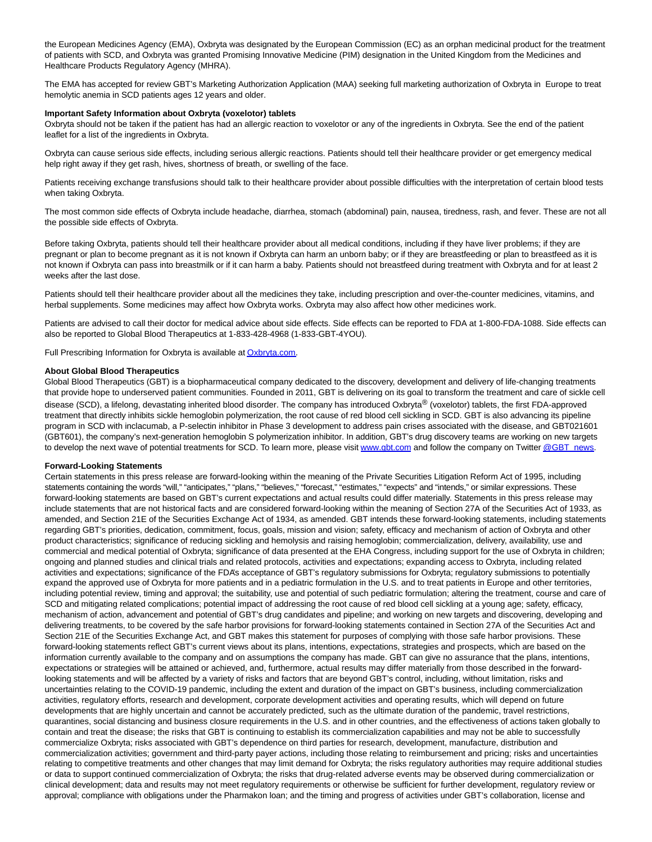the European Medicines Agency (EMA), Oxbryta was designated by the European Commission (EC) as an orphan medicinal product for the treatment of patients with SCD, and Oxbryta was granted Promising Innovative Medicine (PIM) designation in the United Kingdom from the Medicines and Healthcare Products Regulatory Agency (MHRA).

The EMA has accepted for review GBT's Marketing Authorization Application (MAA) seeking full marketing authorization of Oxbryta in Europe to treat hemolytic anemia in SCD patients ages 12 years and older.

#### **Important Safety Information about Oxbryta (voxelotor) tablets**

Oxbryta should not be taken if the patient has had an allergic reaction to voxelotor or any of the ingredients in Oxbryta. See the end of the patient leaflet for a list of the ingredients in Oxbryta.

Oxbryta can cause serious side effects, including serious allergic reactions. Patients should tell their healthcare provider or get emergency medical help right away if they get rash, hives, shortness of breath, or swelling of the face.

Patients receiving exchange transfusions should talk to their healthcare provider about possible difficulties with the interpretation of certain blood tests when taking Oxbryta.

The most common side effects of Oxbryta include headache, diarrhea, stomach (abdominal) pain, nausea, tiredness, rash, and fever. These are not all the possible side effects of Oxbryta.

Before taking Oxbryta, patients should tell their healthcare provider about all medical conditions, including if they have liver problems; if they are pregnant or plan to become pregnant as it is not known if Oxbryta can harm an unborn baby; or if they are breastfeeding or plan to breastfeed as it is not known if Oxbryta can pass into breastmilk or if it can harm a baby. Patients should not breastfeed during treatment with Oxbryta and for at least 2 weeks after the last dose.

Patients should tell their healthcare provider about all the medicines they take, including prescription and over-the-counter medicines, vitamins, and herbal supplements. Some medicines may affect how Oxbryta works. Oxbryta may also affect how other medicines work.

Patients are advised to call their doctor for medical advice about side effects. Side effects can be reported to FDA at 1-800-FDA-1088. Side effects can also be reported to Global Blood Therapeutics at 1-833-428-4968 (1-833-GBT-4YOU).

Full Prescribing Information for Oxbryta is available a[t Oxbryta.com.](https://www.globenewswire.com/Tracker?data=9q_WRHh7UQUu9JomMtDVem5DU4Zu4W7bEfOsBr-ehPkqyUUvYJ6w2CTnhLtkSDeUadtnPOkqqALHoC44Qt_Mwx6nFwKJ7SZKMpXjJfi-7tB6mO4VRXHmaA9zh713PynpmyzIClZllHLK029sIm9fAJevh7DE-RCr_3xxf5jBHmJhD2h1fqPTd1VCpmgE0bktZX4u0fUm9xG2QQQdcBt3XXYI65Z-xx91GfrVJinNHBgQ4G1sHEuQ9YMiTMybFQphdNllFqss8nu1lXRhN4r9Gwi-TgQU92xEtq0Ewq4DVzjLPE6ecdKr5r7o1x6CiTbrPuL28zzh4sq8jcHvE1sG264fQqBKAfEan_cXKH6orpj35FJ-aqoeM04QnmRubN4pk4Wa8z9Kvah8TLj_99KC_V8zU7zCNQhhY6vvUgxcZH4=)

#### **About Global Blood Therapeutics**

Global Blood Therapeutics (GBT) is a biopharmaceutical company dedicated to the discovery, development and delivery of life-changing treatments that provide hope to underserved patient communities. Founded in 2011, GBT is delivering on its goal to transform the treatment and care of sickle cell disease (SCD), a lifelong, devastating inherited blood disorder. The company has introduced Oxbryta® (voxelotor) tablets, the first FDA-approved treatment that directly inhibits sickle hemoglobin polymerization, the root cause of red blood cell sickling in SCD. GBT is also advancing its pipeline program in SCD with inclacumab, a P-selectin inhibitor in Phase 3 development to address pain crises associated with the disease, and GBT021601 (GBT601), the company's next-generation hemoglobin S polymerization inhibitor. In addition, GBT's drug discovery teams are working on new targets to develop the next wave of potential treatments for SCD. To learn more, please visit [www.gbt.com a](https://www.globenewswire.com/Tracker?data=U14SkwPr-oU4Nr_lfY1kHiVqynSLaiACmuh2y5yaCe80ZkB9osPt5pX468UeDUl3XLZ_xInen24Lz4Jbfm3auw==)nd follow the company on Twitte[r @GBT\\_news.](https://www.globenewswire.com/Tracker?data=E_DaLXWzZLwMS6su4wjYVVTkRh3mLHJQk-EatSYjBDLAiTBa_OUdUTISdQX7NrdxVgHCSSXI7-OIN1LoIgzsfQ==)

#### **Forward-Looking Statements**

Certain statements in this press release are forward-looking within the meaning of the Private Securities Litigation Reform Act of 1995, including statements containing the words "will," "anticipates," "plans," "believes," "forecast," "estimates," "expects" and "intends," or similar expressions. These forward-looking statements are based on GBT's current expectations and actual results could differ materially. Statements in this press release may include statements that are not historical facts and are considered forward-looking within the meaning of Section 27A of the Securities Act of 1933, as amended, and Section 21E of the Securities Exchange Act of 1934, as amended. GBT intends these forward-looking statements, including statements regarding GBT's priorities, dedication, commitment, focus, goals, mission and vision; safety, efficacy and mechanism of action of Oxbryta and other product characteristics; significance of reducing sickling and hemolysis and raising hemoglobin; commercialization, delivery, availability, use and commercial and medical potential of Oxbryta; significance of data presented at the EHA Congress, including support for the use of Oxbryta in children; ongoing and planned studies and clinical trials and related protocols, activities and expectations; expanding access to Oxbryta, including related activities and expectations; significance of the FDA's acceptance of GBT's regulatory submissions for Oxbryta; regulatory submissions to potentially expand the approved use of Oxbryta for more patients and in a pediatric formulation in the U.S. and to treat patients in Europe and other territories, including potential review, timing and approval; the suitability, use and potential of such pediatric formulation; altering the treatment, course and care of SCD and mitigating related complications; potential impact of addressing the root cause of red blood cell sickling at a young age; safety, efficacy, mechanism of action, advancement and potential of GBT's drug candidates and pipeline; and working on new targets and discovering, developing and delivering treatments, to be covered by the safe harbor provisions for forward-looking statements contained in Section 27A of the Securities Act and Section 21E of the Securities Exchange Act, and GBT makes this statement for purposes of complying with those safe harbor provisions. These forward-looking statements reflect GBT's current views about its plans, intentions, expectations, strategies and prospects, which are based on the information currently available to the company and on assumptions the company has made. GBT can give no assurance that the plans, intentions, expectations or strategies will be attained or achieved, and, furthermore, actual results may differ materially from those described in the forwardlooking statements and will be affected by a variety of risks and factors that are beyond GBT's control, including, without limitation, risks and uncertainties relating to the COVID-19 pandemic, including the extent and duration of the impact on GBT's business, including commercialization activities, regulatory efforts, research and development, corporate development activities and operating results, which will depend on future developments that are highly uncertain and cannot be accurately predicted, such as the ultimate duration of the pandemic, travel restrictions, quarantines, social distancing and business closure requirements in the U.S. and in other countries, and the effectiveness of actions taken globally to contain and treat the disease; the risks that GBT is continuing to establish its commercialization capabilities and may not be able to successfully commercialize Oxbryta; risks associated with GBT's dependence on third parties for research, development, manufacture, distribution and commercialization activities; government and third-party payer actions, including those relating to reimbursement and pricing; risks and uncertainties relating to competitive treatments and other changes that may limit demand for Oxbryta; the risks regulatory authorities may require additional studies or data to support continued commercialization of Oxbryta; the risks that drug-related adverse events may be observed during commercialization or clinical development; data and results may not meet regulatory requirements or otherwise be sufficient for further development, regulatory review or approval; compliance with obligations under the Pharmakon loan; and the timing and progress of activities under GBT's collaboration, license and